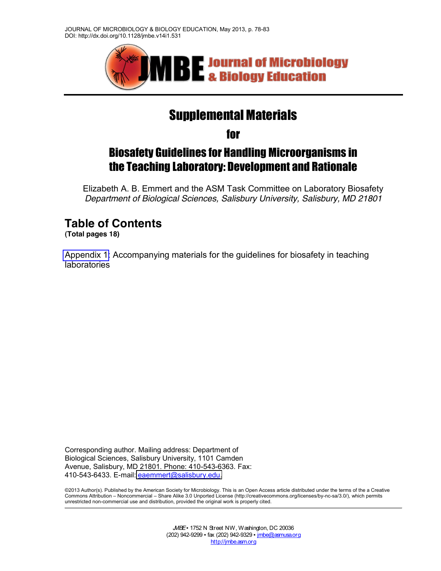

# Supplemental Materials

for

## Biosafety Guidelines for Handling Microorganisms in the Teaching Laboratory: Development and Rationale

Elizabeth A. B. Emmert and the ASM Task Committee on Laboratory Biosafety *Department of Biological Sciences, Salisbury University, Salisbury, MD 21801*

## **Table of Contents**

**(Total pages 18)**

[Appendix 1:](#page-1-0) Accompanying materials for the guidelines for biosafety in teaching laboratories

Corresponding author. Mailing address: Department of Biological Sciences, Salisbury University, 1101 Camden Avenue, Salisbury, MD 21801. Phone: 410-543-6363. Fax: 410-543-6433. E-mail: [eaemmert@salisbury.edu.](mailto:eaemmert@salisbury.edu)

©2013 Author(s). Published by the American Society for Microbiology. This is an Open Access article distributed under the terms of the a Creative Commons Attribution - Noncommercial - Share Alike 3.0 Unported License (http://creativecommons.org/licenses/by-nc-sa/3.0/), which permits unrestricted non-commercial use and distribution, provided the original work is properly cited.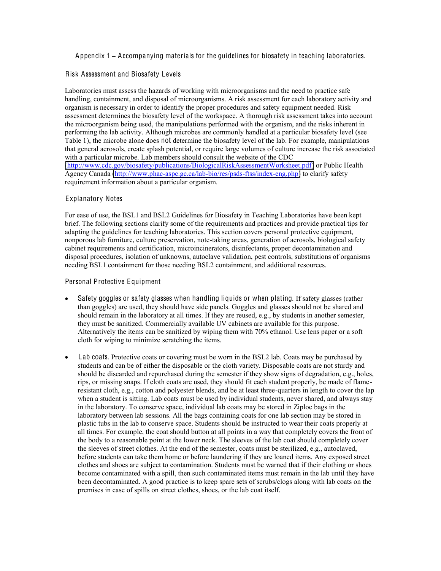Appendix 1 **±** Accompanying materials for the guidelines for biosafety in teaching laboratories.

#### Risk Assessment and Biosafety Levels

Laboratories must assess the hazards of working with microorganisms and the need to practice safe handling, containment, and disposal of microorganisms. A risk assessment for each laboratory activity and organism is necessary in order to identify the proper procedures and safety equipment needed. Risk assessment determines the biosafety level of the workspace. A thorough risk assessment takes into account the microorganism being used, the manipulations performed with the organism, and the risks inherent in performing the lab activity. Although microbes are commonly handled at a particular biosafety level (see Table 1), the microbe alone does not determine the biosafety level of the lab. For example, manipulations that general aerosols, create splash potential, or require large volumes of culture increase the risk associated with a particular microbe. Lab members should consult the website of the CDC [\(http://www.cdc.gov/biosafety/publications/BiologicalRiskAssessmentWorksheet.pdf\)](http://www.cdc.gov/biosafety/publications/BiologicalRiskAssessmentWorksheet.pdf) or Public Health Agency Canada [\(http://www.phac-aspc.gc.ca/lab-bio/res/psds-ftss/index-eng.php\)](http://www.phac-aspc.gc.ca/lab-bio/res/psds-ftss/index-eng.php) to clarify safety requirement information about a particular organism.

#### Explanatory Notes

For ease of use, the BSL1 and BSL2 Guidelines for Biosafety in Teaching Laboratories have been kept brief. The following sections clarify some of the requirements and practices and provide practical tips for adapting the guidelines for teaching laboratories. This section covers personal protective equipment, nonporous lab furniture, culture preservation, note-taking areas, generation of aerosols, biological safety cabinet requirements and certification, microincinerators, disinfectants, proper decontamination and disposal procedures, isolation of unknowns, autoclave validation, pest controls, substitutions of organisms needing BSL1 containment for those needing BSL2 containment, and additional resources.

#### Personal Protective Equipment

- Safety goggles or safety glasses when handling liquids or when plating. If safety glasses (rather than goggles) are used, they should have side panels. Goggles and glasses should not be shared and should remain in the laboratory at all times. If they are reused, e.g., by students in another semester, they must be sanitized. Commercially available UV cabinets are available for this purpose. Alternatively the items can be sanitized by wiping them with 70% ethanol. Use lens paper or a soft cloth for wiping to minimize scratching the items.
- <span id="page-1-0"></span>Lab coats. Protective coats or covering must be worn in the BSL2 lab. Coats may be purchased by students and can be of either the disposable or the cloth variety. Disposable coats are not sturdy and should be discarded and repurchased during the semester if they show signs of degradation, e.g., holes, rips, or missing snaps. If cloth coats are used, they should fit each student properly, be made of flameresistant cloth, e.g., cotton and polyester blends, and be at least three-quarters in length to cover the lap when a student is sitting. Lab coats must be used by individual students, never shared, and always stay in the laboratory. To conserve space, individual lab coats may be stored in Ziploc bags in the laboratory between lab sessions. All the bags containing coats for one lab section may be stored in plastic tubs in the lab to conserve space. Students should be instructed to wear their coats properly at all times. For example, the coat should button at all points in a way that completely covers the front of the body to a reasonable point at the lower neck. The sleeves of the lab coat should completely cover the sleeves of street clothes. At the end of the semester, coats must be sterilized, e.g., autoclaved, before students can take them home or before laundering if they are loaned items. Any exposed street clothes and shoes are subject to contamination. Students must be warned that if their clothing or shoes become contaminated with a spill, then such contaminated items must remain in the lab until they have been decontaminated. A good practice is to keep spare sets of scrubs/clogs along with lab coats on the premises in case of spills on street clothes, shoes, or the lab coat itself.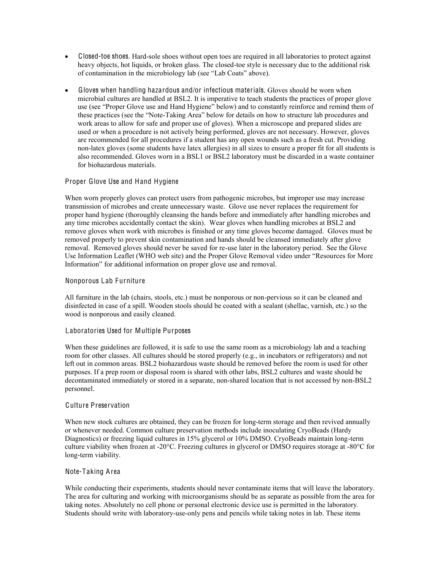- Closed-toe shoes. Hard-sole shoes without open toes are required in all laboratories to protect against heavy objects, hot liquids, or broken glass. The closed-toe style is necessary due to the additional risk of contamination in the microbiology lab (see "Lab Coats" above).
- Gloves when handling hazardous and/or infectious materials. Gloves should be worn when microbial cultures are handled at BSL2. It is imperative to teach students the practices of proper glove use (see "Proper Glove use and Hand Hygiene" below) and to constantly reinforce and remind them of these practices (see the "Note-Taking Area" below for details on how to structure lab procedures and work areas to allow for safe and proper use of gloves). When a microscope and prepared slides are used or when a procedure is not actively being performed, gloves are not necessary. However, gloves are recommended for all procedures if a student has any open wounds such as a fresh cut. Providing non-latex gloves (some students have latex allergies) in all sizes to ensure a proper fit for all students is also recommended. Gloves worn in a BSL1 or BSL2 laboratory must be discarded in a waste container for biohazardous materials.

#### Proper Glove Use and Hand Hygiene

When worn properly gloves can protect users from pathogenic microbes, but improper use may increase transmission of microbes and create unnecessary waste. Glove use never replaces the requirement for proper hand hygiene (thoroughly cleansing the hands before and immediately after handling microbes and any time microbes accidentally contact the skin). Wear gloves when handling microbes at BSL2 and remove gloves when work with microbes is finished or any time gloves become damaged. Gloves must be removed properly to prevent skin contamination and hands should be cleansed immediately after glove removal. Removed gloves should never be saved for re-use later in the laboratory period. See the Glove Use Information Leaflet (WHO web site) and the Proper Glove Removal video under "Resources for More Information" for additional information on proper glove use and removal.

#### Nonporous Lab Furniture

All furniture in the lab (chairs, stools, etc.) must be nonporous or non-pervious so it can be cleaned and disinfected in case of a spill. Wooden stools should be coated with a sealant (shellac, varnish, etc.) so the wood is nonporous and easily cleaned.

#### Laboratories Used for Multiple Purposes

When these guidelines are followed, it is safe to use the same room as a microbiology lab and a teaching room for other classes. All cultures should be stored properly (e.g., in incubators or refrigerators) and not left out in common areas. BSL2 biohazardous waste should be removed before the room is used for other purposes. If a prep room or disposal room is shared with other labs, BSL2 cultures and waste should be decontaminated immediately or stored in a separate, non-shared location that is not accessed by non-BSL2 personnel.

#### Culture Preservation

When new stock cultures are obtained, they can be frozen for long-term storage and then revived annually or whenever needed. Common culture preservation methods include inoculating CryoBeads (Hardy Diagnostics) or freezing liquid cultures in 15% glycerol or 10% DMSO. CryoBeads maintain long-term culture viability when frozen at -20°C. Freezing cultures in glycerol or DMSO requires storage at -80°C for long-term viability.

#### Note-Taking Area

While conducting their experiments, students should never contaminate items that will leave the laboratory. The area for culturing and working with microorganisms should be as separate as possible from the area for taking notes. Absolutely no cell phone or personal electronic device use is permitted in the laboratory. Students should write with laboratory-use-only pens and pencils while taking notes in lab. These items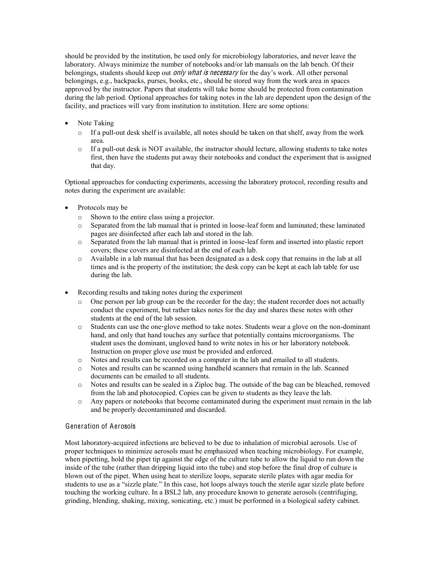should be provided by the institution, be used only for microbiology laboratories, and never leave the laboratory. Always minimize the number of notebooks and/or lab manuals on the lab bench. Of their belongings, students should keep out *only what is necessary* for the day's work. All other personal belongings, e.g., backpacks, purses, books, etc., should be stored way from the work area in spaces approved by the instructor. Papers that students will take home should be protected from contamination during the lab period. Optional approaches for taking notes in the lab are dependent upon the design of the facility, and practices will vary from institution to institution. Here are some options:

- Note Taking
	- $\circ$  If a pull-out desk shelf is available, all notes should be taken on that shelf, away from the work area.
	- $\circ$  If a pull-out desk is NOT available, the instructor should lecture, allowing students to take notes first, then have the students put away their notebooks and conduct the experiment that is assigned that day.

Optional approaches for conducting experiments, accessing the laboratory protocol, recording results and notes during the experiment are available:

- Protocols may be
	- o Shown to the entire class using a projector.
	- o Separated from the lab manual that is printed in loose-leaf form and laminated; these laminated pages are disinfected after each lab and stored in the lab.
	- o Separated from the lab manual that is printed in loose-leaf form and inserted into plastic report covers; these covers are disinfected at the end of each lab.
	- o Available in a lab manual that has been designated as a desk copy that remains in the lab at all times and is the property of the institution; the desk copy can be kept at each lab table for use during the lab.
- Recording results and taking notes during the experiment
	- o One person per lab group can be the recorder for the day; the student recorder does not actually conduct the experiment, but rather takes notes for the day and shares these notes with other students at the end of the lab session.
	- o Students can use the one-glove method to take notes. Students wear a glove on the non-dominant hand, and only that hand touches any surface that potentially contains microorganisms. The student uses the dominant, ungloved hand to write notes in his or her laboratory notebook. Instruction on proper glove use must be provided and enforced.
	- o Notes and results can be recorded on a computer in the lab and emailed to all students.
	- o Notes and results can be scanned using handheld scanners that remain in the lab. Scanned documents can be emailed to all students.
	- o Notes and results can be sealed in a Ziploc bag. The outside of the bag can be bleached, removed from the lab and photocopied. Copies can be given to students as they leave the lab.
	- o Any papers or notebooks that become contaminated during the experiment must remain in the lab and be properly decontaminated and discarded.

#### Generation of Aerosols

Most laboratory-acquired infections are believed to be due to inhalation of microbial aerosols. Use of proper techniques to minimize aerosols must be emphasized when teaching microbiology. For example, when pipetting, hold the pipet tip against the edge of the culture tube to allow the liquid to run down the inside of the tube (rather than dripping liquid into the tube) and stop before the final drop of culture is blown out of the pipet. When using heat to sterilize loops, separate sterile plates with agar media for students to use as a "sizzle plate." In this case, hot loops always touch the sterile agar sizzle plate before touching the working culture. In a BSL2 lab, any procedure known to generate aerosols (centrifuging, grinding, blending, shaking, mixing, sonicating, etc.) must be performed in a biological safety cabinet.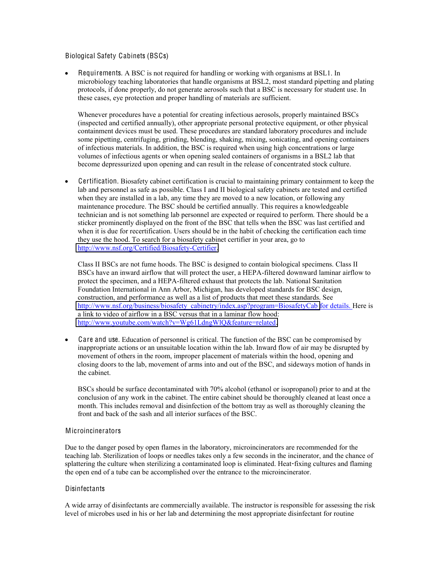#### Biological Safety Cabinets (BSCs)

Requirements. A BSC is not required for handling or working with organisms at BSL1. In microbiology teaching laboratories that handle organisms at BSL2, most standard pipetting and plating protocols, if done properly, do not generate aerosols such that a BSC is necessary for student use. In these cases, eye protection and proper handling of materials are sufficient.

Whenever procedures have a potential for creating infectious aerosols, properly maintained BSCs (inspected and certified annually), other appropriate personal protective equipment, or other physical containment devices must be used. These procedures are standard laboratory procedures and include some pipetting, centrifuging, grinding, blending, shaking, mixing, sonicating, and opening containers of infectious materials. In addition, the BSC is required when using high concentrations or large volumes of infectious agents or when opening sealed containers of organisms in a BSL2 lab that become depressurized upon opening and can result in the release of concentrated stock culture.

Certification. Biosafety cabinet certification is crucial to maintaining primary containment to keep the lab and personnel as safe as possible. Class I and II biological safety cabinets are tested and certified when they are installed in a lab, any time they are moved to a new location, or following any maintenance procedure. The BSC should be certified annually. This requires a knowledgeable technician and is not something lab personnel are expected or required to perform. There should be a sticker prominently displayed on the front of the BSC that tells when the BSC was last certified and when it is due for recertification. Users should be in the habit of checking the certification each time they use the hood. To search for a biosafety cabinet certifier in your area, go to [http://www.nsf.org/Certified/Biosafety-Certifier.](http://www.nsf.org/Certified/Biosafety-Certifier)

Class II BSCs are not fume hoods. The BSC is designed to contain biological specimens. Class II BSCs have an inward airflow that will protect the user, a HEPA-filtered downward laminar airflow to protect the specimen, and a HEPA-filtered exhaust that protects the lab. National Sanitation Foundation International in Ann Arbor, Michigan, has developed standards for BSC design, construction, and performance as well as a list of products that meet these standards. See [http://www.nsf.org/business/biosafety\\_cabinetry/index.asp?program=BiosafetyCab](http://www.nsf.org/business/biosafety_cabinetry/index.asp?program=BiosafetyCab) for details. Here is a link to video of airflow in a BSC versus that in a laminar flow hood: [http://www.youtube.com/watch?v=Wg61LdngWlQ&feature=related.](http://www.youtube.com/watch?v=Wg61LdngWlQ&feature=related)

• Care and use. Education of personnel is critical. The function of the BSC can be compromised by inappropriate actions or an unsuitable location within the lab. Inward flow of air may be disrupted by movement of others in the room, improper placement of materials within the hood, opening and closing doors to the lab, movement of arms into and out of the BSC, and sideways motion of hands in the cabinet.

BSCs should be surface decontaminated with 70% alcohol (ethanol or isopropanol) prior to and at the conclusion of any work in the cabinet. The entire cabinet should be thoroughly cleaned at least once a month. This includes removal and disinfection of the bottom tray as well as thoroughly cleaning the front and back of the sash and all interior surfaces of the BSC.

#### Microincinerators

Due to the danger posed by open flames in the laboratory, microincinerators are recommended for the teaching lab. Sterilization of loops or needles takes only a few seconds in the incinerator, and the chance of splattering the culture when sterilizing a contaminated loop is eliminated. Heat-fixing cultures and flaming the open end of a tube can be accomplished over the entrance to the microincinerator.

#### Disinfectants

A wide array of disinfectants are commercially available. The instructor is responsible for assessing the risk level of microbes used in his or her lab and determining the most appropriate disinfectant for routine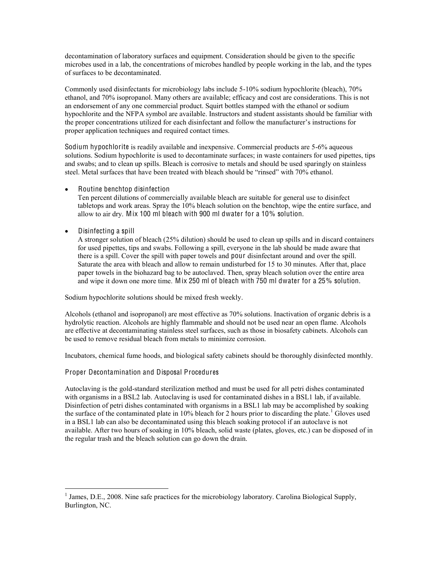decontamination of laboratory surfaces and equipment. Consideration should be given to the specific microbes used in a lab, the concentrations of microbes handled by people working in the lab, and the types of surfaces to be decontaminated.

Commonly used disinfectants for microbiology labs include 5-10% sodium hypochlorite (bleach), 70% ethanol, and 70% isopropanol. Many others are available; efficacy and cost are considerations. This is not an endorsement of any one commercial product. Squirt bottles stamped with the ethanol or sodium hypochlorite and the NFPA symbol are available. Instructors and student assistants should be familiar with the proper concentrations utilized for each disinfectant and follow the manufacturer's instructions for proper application techniques and required contact times.

Sodium hypochlorite is readily available and inexpensive. Commercial products are 5-6% aqueous solutions. Sodium hypochlorite is used to decontaminate surfaces; in waste containers for used pipettes, tips and swabs; and to clean up spills. Bleach is corrosive to metals and should be used sparingly on stainless steel. Metal surfaces that have been treated with bleach should be "rinsed" with 70% ethanol.

Routine benchtop disinfection

Ten percent dilutions of commercially available bleach are suitable for general use to disinfect tabletops and work areas. Spray the 10% bleach solution on the benchtop, wipe the entire surface, and allow to air dry. Mix 100 ml bleach with 900 ml dwater for a 10% solution.

Disinfecting a spill

A stronger solution of bleach (25% dilution) should be used to clean up spills and in discard containers for used pipettes, tips and swabs. Following a spill, everyone in the lab should be made aware that there is a spill. Cover the spill with paper towels and pour disinfectant around and over the spill. Saturate the area with bleach and allow to remain undisturbed for 15 to 30 minutes. After that, place paper towels in the biohazard bag to be autoclaved. Then, spray bleach solution over the entire area and wipe it down one more time. Mix 250 ml of bleach with 750 ml dwater for a 25% solution.

Sodium hypochlorite solutions should be mixed fresh weekly.

Alcohols (ethanol and isopropanol) are most effective as 70% solutions. Inactivation of organic debris is a hydrolytic reaction. Alcohols are highly flammable and should not be used near an open flame. Alcohols are effective at decontaminating stainless steel surfaces, such as those in biosafety cabinets. Alcohols can be used to remove residual bleach from metals to minimize corrosion.

Incubators, chemical fume hoods, and biological safety cabinets should be thoroughly disinfected monthly.

#### Proper Decontamination and Disposal Procedures

Autoclaving is the gold-standard sterilization method and must be used for all petri dishes contaminated with organisms in a BSL2 lab. Autoclaving is used for contaminated dishes in a BSL1 lab, if available. Disinfection of petri dishes contaminated with organisms in a BSL1 lab may be accomplished by soaking the surface of the contaminated plate in 10% bleach for 2 hours prior to discarding the plate.<sup>1</sup> Gloves used in a BSL1 lab can also be decontaminated using this bleach soaking protocol if an autoclave is not available. After two hours of soaking in 10% bleach, solid waste (plates, gloves, etc.) can be disposed of in the regular trash and the bleach solution can go down the drain.

<sup>&</sup>lt;sup>1</sup> James, D.E., 2008. Nine safe practices for the microbiology laboratory. Carolina Biological Supply, Burlington, NC.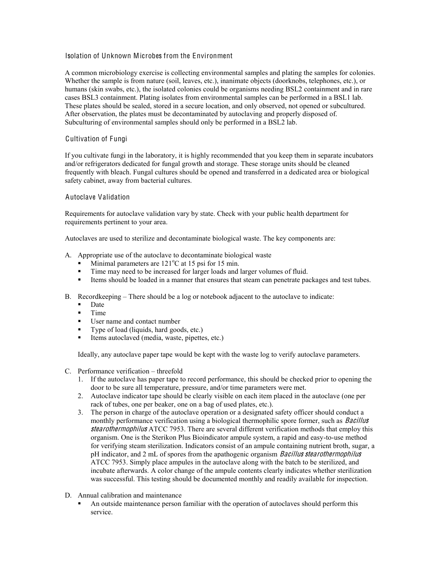#### Isolation of Unknown Microbes from the Environment

A common microbiology exercise is collecting environmental samples and plating the samples for colonies. Whether the sample is from nature (soil, leaves, etc.), inanimate objects (doorknobs, telephones, etc.), or humans (skin swabs, etc.), the isolated colonies could be organisms needing BSL2 containment and in rare cases BSL3 containment. Plating isolates from environmental samples can be performed in a BSL1 lab. These plates should be sealed, stored in a secure location, and only observed, not opened or subcultured. After observation, the plates must be decontaminated by autoclaving and properly disposed of. Subculturing of environmental samples should only be performed in a BSL2 lab.

#### Cultivation of Fungi

If you cultivate fungi in the laboratory, it is highly recommended that you keep them in separate incubators and/or refrigerators dedicated for fungal growth and storage. These storage units should be cleaned frequently with bleach. Fungal cultures should be opened and transferred in a dedicated area or biological safety cabinet, away from bacterial cultures.

#### Autoclave Validation

Requirements for autoclave validation vary by state. Check with your public health department for requirements pertinent to your area.

Autoclaves are used to sterilize and decontaminate biological waste. The key components are:

- A. Appropriate use of the autoclave to decontaminate biological waste
	- $\blacksquare$  Minimal parameters are 121°C at 15 psi for 15 min.
	- Time may need to be increased for larger loads and larger volumes of fluid.
	- Items should be loaded in a manner that ensures that steam can penetrate packages and test tubes.
- B. Record keeping  $-$  There should be a log or notebook adjacent to the autoclave to indicate:
	- Date
	- Time
	- User name and contact number
	- Type of load (liquids, hard goods, etc.)
	- Items autoclaved (media, waste, pipettes, etc.)

Ideally, any autoclave paper tape would be kept with the waste log to verify autoclave parameters.

- $C.$  Performance verification  $-$  threefold
	- 1. If the autoclave has paper tape to record performance, this should be checked prior to opening the door to be sure all temperature, pressure, and/or time parameters were met.
	- 2. Autoclave indicator tape should be clearly visible on each item placed in the autoclave (one per rack of tubes, one per beaker, one on a bag of used plates, etc.).
	- 3. The person in charge of the autoclave operation or a designated safety officer should conduct a monthly performance verification using a biological thermophilic spore former, such as *Bacillus* stearothermophilus ATCC 7953. There are several different verification methods that employ this organism. One is the Sterikon Plus Bioindicator ampule system, a rapid and easy-to-use method for verifying steam sterilization. Indicators consist of an ampule containing nutrient broth, sugar, a pH indicator, and 2 mL of spores from the apathogenic organism *Bacillus stearothermophilus* ATCC 7953. Simply place ampules in the autoclave along with the batch to be sterilized, and incubate afterwards. A color change of the ampule contents clearly indicates whether sterilization was successful. This testing should be documented monthly and readily available for inspection.
- D. Annual calibration and maintenance
	- An outside maintenance person familiar with the operation of autoclaves should perform this service.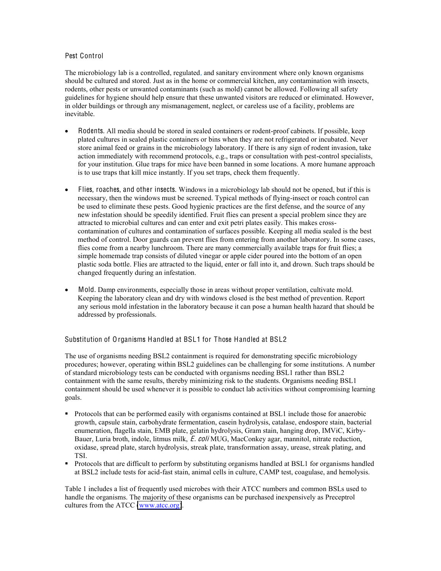### Pest Control

The microbiology lab is a controlled, regulated, and sanitary environment where only known organisms should be cultured and stored. Just as in the home or commercial kitchen, any contamination with insects, rodents, other pests or unwanted contaminants (such as mold) cannot be allowed. Following all safety guidelines for hygiene should help ensure that these unwanted visitors are reduced or eliminated. However, in older buildings or through any mismanagement, neglect, or careless use of a facility, problems are inevitable.

- Rodents. All media should be stored in sealed containers or rodent-proof cabinets. If possible, keep plated cultures in sealed plastic containers or bins when they are not refrigerated or incubated. Never store animal feed or grains in the microbiology laboratory. If there is any sign of rodent invasion, take action immediately with recommend protocols, e.g., traps or consultation with pest-control specialists, for your institution. Glue traps for mice have been banned in some locations. A more humane approach is to use traps that kill mice instantly. If you set traps, check them frequently.
- $\bullet$  Flies, roaches, and other insects. Windows in a microbiology lab should not be opened, but if this is necessary, then the windows must be screened. Typical methods of flying-insect or roach control can be used to eliminate these pests. Good hygienic practices are the first defense, and the source of any new infestation should be speedily identified. Fruit flies can present a special problem since they are attracted to microbial cultures and can enter and exit petri plates easily. This makes crosscontamination of cultures and contamination of surfaces possible. Keeping all media sealed is the best method of control. Door guards can prevent flies from entering from another laboratory. In some cases, flies come from a nearby lunchroom. There are many commercially available traps for fruit flies; a simple homemade trap consists of diluted vinegar or apple cider poured into the bottom of an open plastic soda bottle. Flies are attracted to the liquid, enter or fall into it, and drown. Such traps should be changed frequently during an infestation.
- Mold. Damp environments, especially those in areas without proper ventilation, cultivate mold. Keeping the laboratory clean and dry with windows closed is the best method of prevention. Report any serious mold infestation in the laboratory because it can pose a human health hazard that should be addressed by professionals.

## Substitution of Organisms Handled at BSL1 for Those Handled at BSL2

The use of organisms needing BSL2 containment is required for demonstrating specific microbiology procedures; however, operating within BSL2 guidelines can be challenging for some institutions. A number of standard microbiology tests can be conducted with organisms needing BSL1 rather than BSL2 containment with the same results, thereby minimizing risk to the students. Organisms needing BSL1 containment should be used whenever it is possible to conduct lab activities without compromising learning goals.

- **Protocols that can be performed easily with organisms contained at BSL1 include those for anaerobic** growth, capsule stain, carbohydrate fermentation, casein hydrolysis, catalase, endospore stain, bacterial enumeration, flagella stain, EMB plate, gelatin hydrolysis, Gram stain, hanging drop, IMViC, Kirby-Bauer, Luria broth, indole, litmus milk, *E. coli* MUG, MacConkey agar, mannitol, nitrate reduction, oxidase, spread plate, starch hydrolysis, streak plate, transformation assay, urease, streak plating, and TSI.
- Protocols that are difficult to perform by substituting organisms handled at BSL1 for organisms handled at BSL2 include tests for acid-fast stain, animal cells in culture, CAMP test, coagulase, and hemolysis.

Table 1 includes a list of frequently used microbes with their ATCC numbers and common BSLs used to handle the organisms. The majority of these organisms can be purchased inexpensively as Preceptrol cultures from the ATCC [\(www.atcc.org\)](http://www.atcc.org/).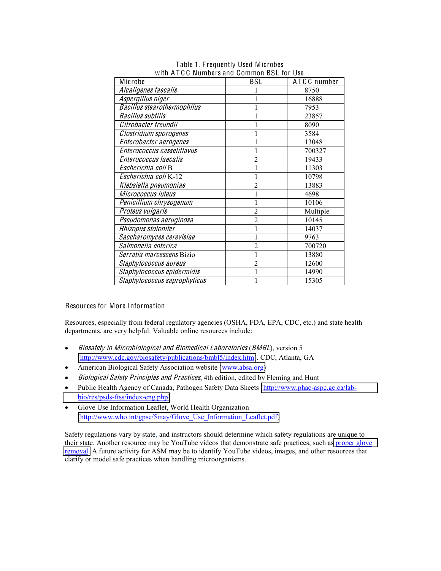| Microbe                            | <b>BSL</b>     | ATCC number |
|------------------------------------|----------------|-------------|
| Alcaligenes faecalis               |                | 8750        |
| Aspergillus niger                  |                | 16888       |
| <b>Bacillus stearothermophilus</b> |                | 7953        |
| <b>Bacillus subtilis</b>           |                | 23857       |
| Citrobacter freundii               |                | 8090        |
| Clostridium sporogenes             |                | 3584        |
| Enterobacter aerogenes             |                | 13048       |
| Enterococcus casseliflavus         |                | 700327      |
| Enterococcus faecalis              | $\overline{2}$ | 19433       |
| Escherichia coli B                 |                | 11303       |
| Escherichia coli K-12              | 1              | 10798       |
| Klebsiella pneumoniae              | $\overline{c}$ | 13883       |
| Micrococcus luteus                 |                | 4698        |
| Penicillium chrysogenum            |                | 10106       |
| Proteus vulgaris                   | $\overline{2}$ | Multiple    |
| Pseudomonas aeruginosa             | $\overline{2}$ | 10145       |
| Rhizopus stolonifer                |                | 14037       |
| Saccharomyces cerevisiae           |                | 9763        |
| Salmonella enterica                | $\overline{2}$ | 700720      |
| Serratia marcescens Bizio          |                | 13880       |
| Staphylococcus aureus              | $\overline{c}$ | 12600       |
| Staphylococcus epidermidis         |                | 14990       |
| Staphylococcus saprophyticus       |                | 15305       |

Table 1. Frequently Used Microbes with ATCC Numbers and Common BSL for Use

Resources for More Information

Resources, especially from federal regulatory agencies (OSHA, FDA, EPA, CDC, etc.) and state health departments, are very helpful. Valuable online resources include:

- Biosafety in Microbiological and Biomedical Laboratories (BMBL), version 5 [\(http://www.cdc.gov/biosafety/publications/bmbl5/index.htm\)](http://www.cdc.gov/biosafety/publications/bmbl5/index.htm). CDC, Atlanta, GA
- American Biological Safety Association website [\(www.absa.org\)](http://www.absa.org/)
- Biological Safety Principles and Practices, 4th edition, edited by Fleming and Hunt
- Public Health Agency of Canada, Pathogen Safety Data Sheets [\(http://www.phac-aspc.gc.ca/lab](http://www.phac-aspc.gc.ca/lab-bio/res/psds-ftss/index-eng.php)[bio/res/psds-ftss/index-eng.php\)](http://www.phac-aspc.gc.ca/lab-bio/res/psds-ftss/index-eng.php)
- Glove Use Information Leaflet, World Health Organization (http://www.who.int/gpsc/5may/Glove Use Information Leaflet.pdf)

Safety regulations vary by state, and instructors should determine which safety regulations are unique to their state. Another resource may be YouTube videos that demonstrate safe practices, such as proper glove [removal.](http://www.youtube.com/watch?v=S4gyNAsPCbU&feature=youtu.be) A future activity for ASM may be to identify YouTube videos, images, and other resources that clarify or model safe practices when handling microorganisms.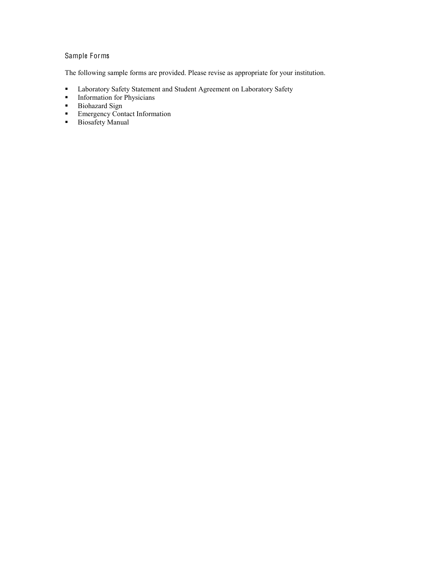## Sample Forms

The following sample forms are provided. Please revise as appropriate for your institution.

- **Laboratory Safety Statement and Student Agreement on Laboratory Safety**
- **Information for Physicians**
- **Biohazard Sign**
- **Emergency Contact Information**
- **Biosafety Manual**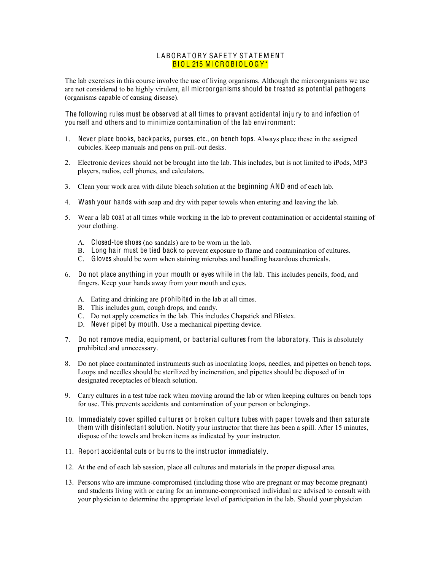#### LABORATORY SAFETY STATEMENT BIOL 215 MICROBIOLOGY\*

The lab exercises in this course involve the use of living organisms. Although the microorganisms we use are not considered to be highly virulent, all microorganisms should be treated as potential pathogens (organisms capable of causing disease).

The following rules must be observed at all times to prevent accidental injury to and infection of yourself and others and to minimize contamination of the lab environment:

- 1. Never place books, backpacks, purses, etc., on bench tops. Always place these in the assigned cubicles. Keep manuals and pens on pull-out desks.
- 2. Electronic devices should not be brought into the lab. This includes, but is not limited to iPods, MP3 players, radios, cell phones, and calculators.
- 3. Clean your work area with dilute bleach solution at the beginning AND end of each lab.
- 4. Wash your hands with soap and dry with paper towels when entering and leaving the lab.
- 5. Wear a lab coat at all times while working in the lab to prevent contamination or accidental staining of your clothing.
	- A. Closed-toe shoes (no sandals) are to be worn in the lab.
	- B. Long hair must be tied back to prevent exposure to flame and contamination of cultures.
	- C. Gloves should be worn when staining microbes and handling hazardous chemicals.
- 6. Do not place anything in your mouth or eyes while in the lab. This includes pencils, food, and fingers. Keep your hands away from your mouth and eyes.
	- A. Eating and drinking are prohibited in the lab at all times.
	- B. This includes gum, cough drops, and candy.
	- C. Do not apply cosmetics in the lab. This includes Chapstick and Blistex.
	- D. Never pipet by mouth. Use a mechanical pipetting device.
- 7. Do not remove media, equipment, or bacterial cultures from the laboratory. This is absolutely prohibited and unnecessary.
- 8. Do not place contaminated instruments such as inoculating loops, needles, and pipettes on bench tops. Loops and needles should be sterilized by incineration, and pipettes should be disposed of in designated receptacles of bleach solution.
- 9. Carry cultures in a test tube rack when moving around the lab or when keeping cultures on bench tops for use. This prevents accidents and contamination of your person or belongings.
- 10. Immediately cover spilled cultures or broken culture tubes with paper towels and then saturate them with disinfectant solution. Notify your instructor that there has been a spill. After 15 minutes, dispose of the towels and broken items as indicated by your instructor.
- 11. Report accidental cuts or burns to the instructor immediately.
- 12. At the end of each lab session, place all cultures and materials in the proper disposal area.
- 13. Persons who are immune-compromised (including those who are pregnant or may become pregnant) and students living with or caring for an immune-compromised individual are advised to consult with your physician to determine the appropriate level of participation in the lab. Should your physician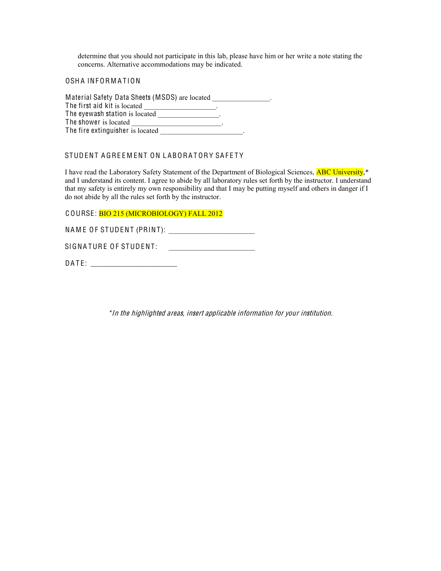determine that you should not participate in this lab, please have him or her write a note stating the concerns. Alternative accommodations may be indicated.

OSHA INFORMATION

| Material Safety Data Sheets (MSDS) are located |  |
|------------------------------------------------|--|
| The first aid kit is located                   |  |
| The eyewash station is located                 |  |
| The shower is located                          |  |
| The fire extinguisher is located               |  |

## STUDENT AGREEMENT ON LABORATORY SAFETY

I have read the Laboratory Safety Statement of the Department of Biological Sciences, ABC University,\* and I understand its content. I agree to abide by all laboratory rules set forth by the instructor. I understand that my safety is entirely my own responsibility and that I may be putting myself and others in danger if I do not abide by all the rules set forth by the instructor.

C OURSE: BIO 215 (MICROBIOLOGY) FALL 2012

NA M E O F STUDENT (PRINT): \_\_\_\_\_\_\_\_\_\_\_\_\_\_\_\_\_\_\_\_\_\_\_\_

SIGNA TURE O F STUDENT: \_\_\_\_\_\_\_\_\_\_\_\_\_\_\_\_\_\_\_\_\_\_\_\_

DA T E: \_\_\_\_\_\_\_\_\_\_\_\_\_\_\_\_\_\_\_\_\_\_\_\_

\*In th<sup>e</sup> highlighted areas, insert applicabl<sup>e</sup> information for your institution.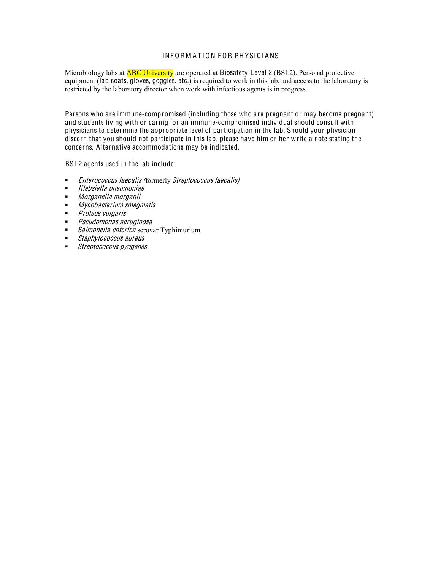### INFORMATION FOR PHYSICIANS

Microbiology labs at **ABC University** are operated at Biosafety Level 2 (BSL2). Personal protective equipment (lab coats, gloves, goggles. etc.) is required to work in this lab, and access to the laboratory is restricted by the laboratory director when work with infectious agents is in progress.

Persons who are immune-compromised (including those who are pregnant or may become pregnant) and students living with or caring for an immune-compromised individual should consult with physicians to determine the appropriate level of participation in the lab. Should your physician discern that you should not participate in this lab, please have him or her write a note stating the concerns. Alternative accommodations may be indicated.

BSL2 agents used in the lab include:

- **Enterococcus faecalis (formerly Streptococcus faecalis)**
- Klebsiella pneumonia<sup>e</sup>
- Morganella <sup>m</sup>organii
- **Mycobacterium smegmatis**
- **Proteus vulgaris**
- Pseudomona<sup>s</sup> <sup>a</sup><sup>e</sup>rugino<sup>s</sup><sup>a</sup>
- Salmonella enterica serovar Typhimurium
- Staphylo<sup>c</sup>occu<sup>s</sup> aureu<sup>s</sup>
- Streptococcu<sup>s</sup> pyogene<sup>s</sup>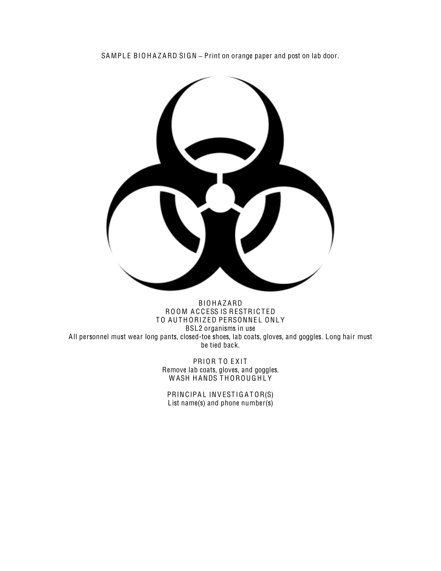SAMPLE BIOHAZARD SIGN - Print on orange paper and post on lab door.



BIO H A Z ARD ROOM ACCESS IS RESTRICTED TO AUTHORIZED PERSONNEL ONLY BSL2 organisms in use All personnel must wear long pants, closed-toe shoes, lab coats, gloves, and goggles. Long hair must be tied back.

> PRIOR TO EXIT Remove lab coats, gloves, and goggles. W ASH H ANDS T H OROUG H L Y

PRINCIPAL INVESTIGATOR(S) List name(s) and phone number(s)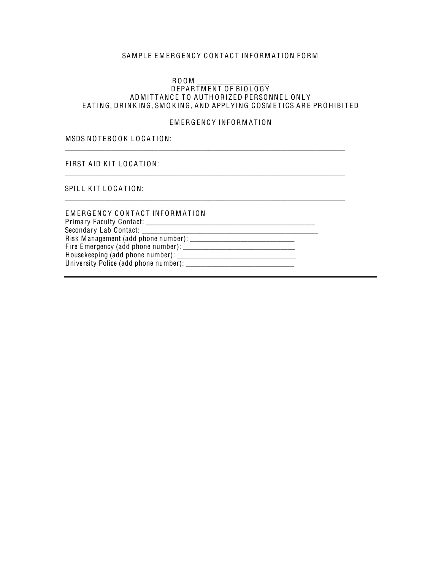## SAMPLE EMERGENCY CONTACT INFORMATION FORM

#### RO O M \_\_\_\_\_\_\_\_\_\_\_\_\_\_\_\_\_\_\_\_ DEPARTMENT OF BIOLOGY ADMITTANCE TO AUTHORIZED PERSONNEL ONLY EATING, DRINKING, SMOKING, AND APPLYING COSMETICS ARE PROHIBITED

#### EMERGENCY INFORMATION

\_\_\_\_\_\_\_\_\_\_\_\_\_\_\_\_\_\_\_\_\_\_\_\_\_\_\_\_\_\_\_\_\_\_\_\_\_\_\_\_\_\_\_\_\_\_\_\_\_\_\_\_\_\_\_\_\_\_\_\_\_\_\_\_\_\_\_\_\_\_\_\_\_\_\_\_\_\_

\_\_\_\_\_\_\_\_\_\_\_\_\_\_\_\_\_\_\_\_\_\_\_\_\_\_\_\_\_\_\_\_\_\_\_\_\_\_\_\_\_\_\_\_\_\_\_\_\_\_\_\_\_\_\_\_\_\_\_\_\_\_\_\_\_\_\_\_\_\_\_\_\_\_\_\_\_\_

\_\_\_\_\_\_\_\_\_\_\_\_\_\_\_\_\_\_\_\_\_\_\_\_\_\_\_\_\_\_\_\_\_\_\_\_\_\_\_\_\_\_\_\_\_\_\_\_\_\_\_\_\_\_\_\_\_\_\_\_\_\_\_\_\_\_\_\_\_\_\_\_\_\_\_\_\_\_

## MSDS NOTEBOOK LOCATION:

FIRST AID KIT LOCATION:

SPILL KIT LOCATION:

| EMERGENCY CONTACT INFORMATION         |  |
|---------------------------------------|--|
|                                       |  |
|                                       |  |
|                                       |  |
|                                       |  |
|                                       |  |
| University Police (add phone number): |  |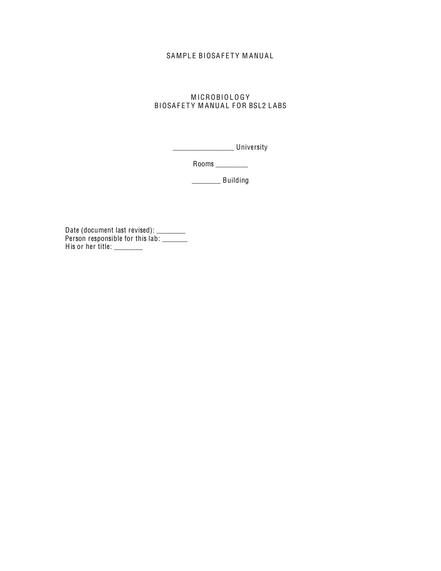## SAMPLE BIOSAFETY MANUAL

## MICROBIOLOGY BIOSAFETY MANUAL FOR BSL2 LABS

\_\_\_\_\_\_\_\_\_\_\_\_\_\_\_\_\_ University

Rooms \_\_\_\_\_\_\_\_\_

\_\_\_\_\_\_\_\_ Building

Date (document last revised): \_\_\_\_\_\_\_\_ Person responsible for this lab: \_\_\_\_\_\_ His or her title: \_\_\_\_\_\_\_\_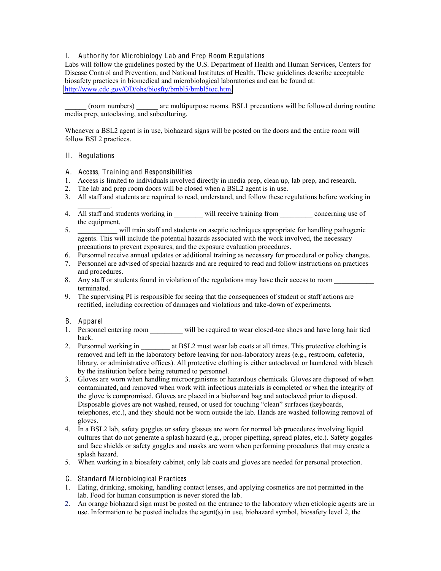### I. Authority for Microbiology Lab and Prep Room Regulations

Labs will follow the guidelines posted by the U.S. Department of Health and Human Services, Centers for Disease Control and Prevention, and National Institutes of Health. These guidelines describe acceptable biosafety practices in biomedical and microbiological laboratories and can be found at: [http://www.cdc.gov/OD/ohs/biosfty/bmbl5/bmbl5toc.htm.](http://www.cdc.gov/OD/ohs/biosfty/bmbl5/bmbl5toc.htm)

\_\_\_\_\_\_ (room numbers) \_\_\_\_\_\_ are multipurpose rooms. BSL1 precautions will be followed during routine media prep, autoclaving, and subculturing.

Whenever a BSL2 agent is in use, biohazard signs will be posted on the doors and the entire room will follow BSL2 practices.

#### II. Regulations

- A. Access, T raining and Responsibilities
- 1. Access is limited to individuals involved directly in media prep, clean up, lab prep, and research.
- 2. The lab and prep room doors will be closed when a BSL2 agent is in use.
- 3. All staff and students are required to read, understand, and follow these regulations before working in
- $\mathcal{L}=\mathcal{L}^{\mathcal{L}}$ 4. All staff and students working in \_\_\_\_\_\_\_ will receive training from \_\_\_\_\_\_\_\_ concerning use of the equipment.
- 5. \_\_\_\_\_\_\_\_\_\_\_ will train staff and students on aseptic techniques appropriate for handling pathogenic agents. This will include the potential hazards associated with the work involved, the necessary precautions to prevent exposures, and the exposure evaluation procedures.
- 6. Personnel receive annual updates or additional training as necessary for procedural or policy changes.
- 7. Personnel are advised of special hazards and are required to read and follow instructions on practices and procedures.
- 8. Any staff or students found in violation of the regulations may have their access to room terminated.
- 9. The supervising PI is responsible for seeing that the consequences of student or staff actions are rectified, including correction of damages and violations and take-down of experiments.

#### B. Apparel

- 1. Personnel entering room will be required to wear closed-toe shoes and have long hair tied back.
- 2. Personnel working in \_\_\_\_\_\_\_ at BSL2 must wear lab coats at all times. This protective clothing is removed and left in the laboratory before leaving for non-laboratory areas (e.g., restroom, cafeteria, library, or administrative offices). All protective clothing is either autoclaved or laundered with bleach by the institution before being returned to personnel.
- 3. Gloves are worn when handling microorganisms or hazardous chemicals. Gloves are disposed of when contaminated, and removed when work with infectious materials is completed or when the integrity of the glove is compromised. Gloves are placed in a biohazard bag and autoclaved prior to disposal. Disposable gloves are not washed, reused, or used for touching "clean" surfaces (keyboards, telephones, etc.), and they should not be worn outside the lab. Hands are washed following removal of gloves.
- 4. In a BSL2 lab, safety goggles or safety glasses are worn for normal lab procedures involving liquid cultures that do not generate a splash hazard (e.g., proper pipetting, spread plates, etc.). Safety goggles and face shields or safety goggles and masks are worn when performing procedures that may create a splash hazard.
- 5. When working in a biosafety cabinet, only lab coats and gloves are needed for personal protection.
- C. Standard Microbiological Practices
- 1. Eating, drinking, smoking, handling contact lenses, and applying cosmetics are not permitted in the lab. Food for human consumption is never stored the lab.
- 2. An orange biohazard sign must be posted on the entrance to the laboratory when etiologic agents are in use. Information to be posted includes the agent(s) in use, biohazard symbol, biosafety level 2, the